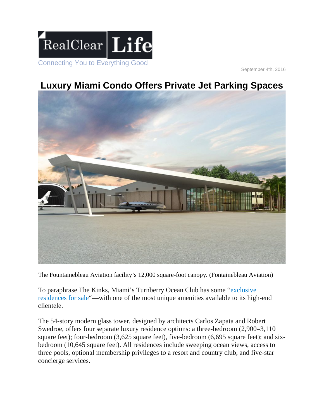

September 4th, 2016

## **Luxury Miami Condo Offers Private Jet Parking Spaces**



The Fountainebleau Aviation facility's 12,000 square-foot canopy. (Fontainebleau Aviation)

To paraphrase The Kinks, Miami's Turnberry Ocean Club has some ["exclusive](https://www.youtube.com/watch?v=7IR6HGH8Hqw)  [residences for sale"](https://www.youtube.com/watch?v=7IR6HGH8Hqw)—with one of the most unique amenities available to its high-end clientele.

The 54-story modern glass tower, designed by architects Carlos Zapata and Robert Swedroe, offers four separate luxury residence options: a three-bedroom (2,900–3,110 square feet); four-bedroom (3,625 square feet), five-bedroom (6,695 square feet); and sixbedroom (10,645 square feet). All residences include sweeping ocean views, access to three pools, optional membership privileges to a resort and country club, and five-star concierge services.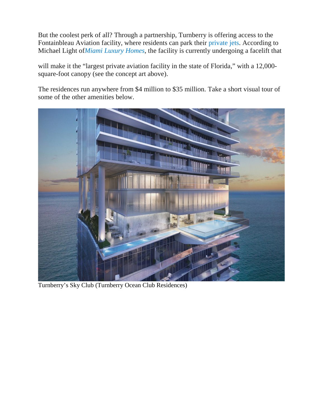But the coolest perk of all? Through a partnership, Turnberry is offering access to the Fontainbleau Aviation facility, where residents can park their [private jets.](http://www.realclearlife.com/2016/08/31/dassaults-falcon-8x-business-jet-is-58-million-worth-of-in-air-luxury/) According to Michael Light of*[Miami Luxury Homes](http://www.miamiluxuryhomes.com/blog/the-mother-of-all-amenities-private-jet-parking-for-turnberry-ocean-club-buyers/)*, the facility is currently undergoing a facelift that

will make it the "largest private aviation facility in the state of Florida," with a 12,000square-foot canopy (see the concept art above).

The residences run anywhere from \$4 million to \$35 million. Take a short visual tour of some of the other amenities below.



Turnberry's Sky Club (Turnberry Ocean Club Residences)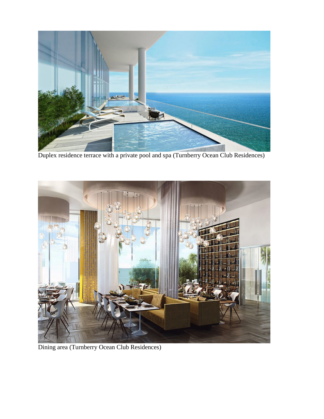

Duplex residence terrace with a private pool and spa (Turnberry Ocean Club Residences)



Dining area (Turnberry Ocean Club Residences)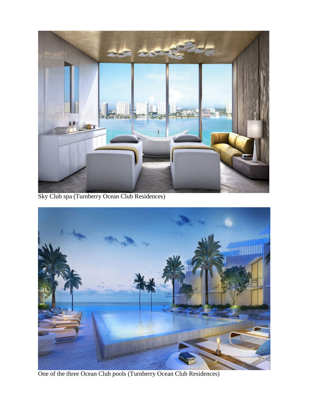

Sky Club spa (Turnberry Ocean Club Residences)



One of the three Ocean Club pools (Turnberry Ocean Club Residences)